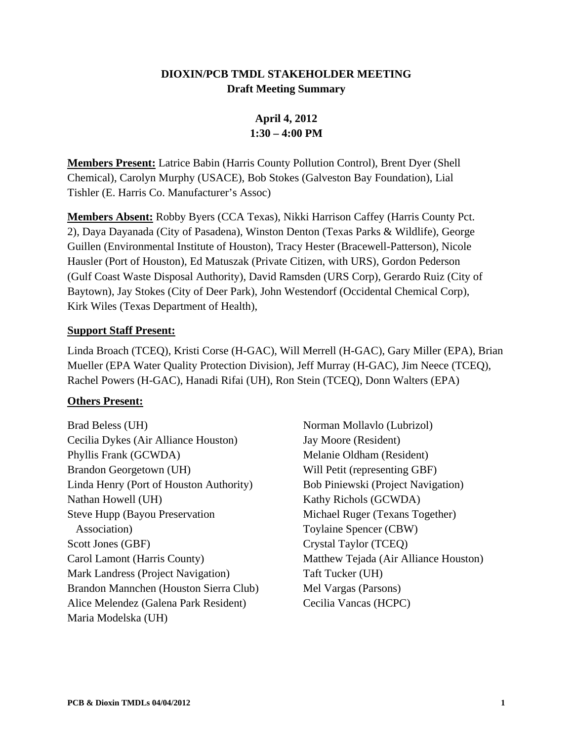#### **DIOXIN/PCB TMDL STAKEHOLDER MEETING Draft Meeting Summary**

## **April 4, 2012 1:30 – 4:00 PM**

**Members Present:** Latrice Babin (Harris County Pollution Control), Brent Dyer (Shell Chemical), Carolyn Murphy (USACE), Bob Stokes (Galveston Bay Foundation), Lial Tishler (E. Harris Co. Manufacturer's Assoc)

**Members Absent:** Robby Byers (CCA Texas), Nikki Harrison Caffey (Harris County Pct. 2), Daya Dayanada (City of Pasadena), Winston Denton (Texas Parks & Wildlife), George Guillen (Environmental Institute of Houston), Tracy Hester (Bracewell-Patterson), Nicole Hausler (Port of Houston), Ed Matuszak (Private Citizen, with URS), Gordon Pederson (Gulf Coast Waste Disposal Authority), David Ramsden (URS Corp), Gerardo Ruiz (City of Baytown), Jay Stokes (City of Deer Park), John Westendorf (Occidental Chemical Corp), Kirk Wiles (Texas Department of Health),

#### **Support Staff Present:**

Linda Broach (TCEQ), Kristi Corse (H-GAC), Will Merrell (H-GAC), Gary Miller (EPA), Brian Mueller (EPA Water Quality Protection Division), Jeff Murray (H-GAC), Jim Neece (TCEQ), Rachel Powers (H-GAC), Hanadi Rifai (UH), Ron Stein (TCEQ), Donn Walters (EPA)

#### **Others Present:**

Brad Beless (UH) Cecilia Dykes (Air Alliance Houston) Phyllis Frank (GCWDA) Brandon Georgetown (UH) Linda Henry (Port of Houston Authority) Nathan Howell (UH) Steve Hupp (Bayou Preservation Association) Scott Jones (GBF) Carol Lamont (Harris County) Mark Landress (Project Navigation) Brandon Mannchen (Houston Sierra Club) Alice Melendez (Galena Park Resident) Maria Modelska (UH)

Norman Mollavlo (Lubrizol) Jay Moore (Resident) Melanie Oldham (Resident) Will Petit (representing GBF) Bob Piniewski (Project Navigation) Kathy Richols (GCWDA) Michael Ruger (Texans Together) Toylaine Spencer (CBW) Crystal Taylor (TCEQ) Matthew Tejada (Air Alliance Houston) Taft Tucker (UH) Mel Vargas (Parsons) Cecilia Vancas (HCPC)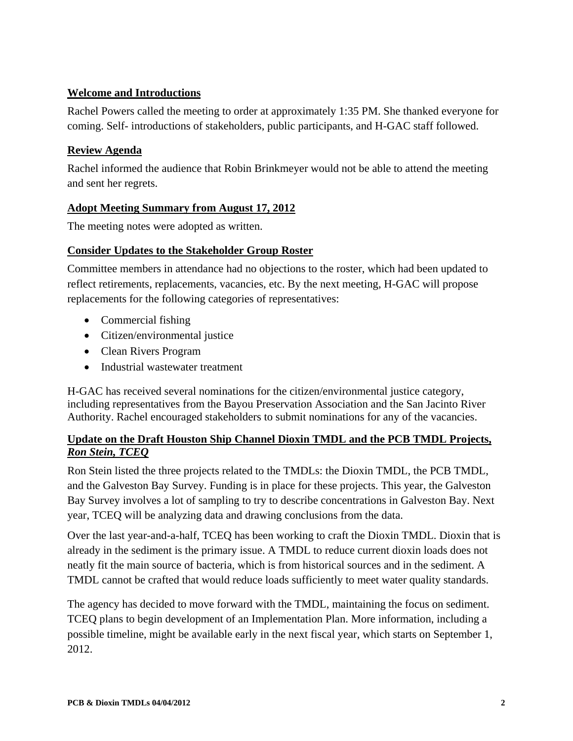#### **Welcome and Introductions**

Rachel Powers called the meeting to order at approximately 1:35 PM. She thanked everyone for coming. Self- introductions of stakeholders, public participants, and H-GAC staff followed.

### **Review Agenda**

Rachel informed the audience that Robin Brinkmeyer would not be able to attend the meeting and sent her regrets.

#### **Adopt Meeting Summary from August 17, 2012**

The meeting notes were adopted as written.

#### **Consider Updates to the Stakeholder Group Roster**

Committee members in attendance had no objections to the roster, which had been updated to reflect retirements, replacements, vacancies, etc. By the next meeting, H-GAC will propose replacements for the following categories of representatives:

- Commercial fishing
- Citizen/environmental justice
- Clean Rivers Program
- Industrial wastewater treatment

H-GAC has received several nominations for the citizen/environmental justice category, including representatives from the Bayou Preservation Association and the San Jacinto River Authority. Rachel encouraged stakeholders to submit nominations for any of the vacancies.

#### **Update on the Draft Houston Ship Channel Dioxin TMDL and the PCB TMDL Projects,**  *Ron Stein, TCEQ*

Ron Stein listed the three projects related to the TMDLs: the Dioxin TMDL, the PCB TMDL, and the Galveston Bay Survey. Funding is in place for these projects. This year, the Galveston Bay Survey involves a lot of sampling to try to describe concentrations in Galveston Bay. Next year, TCEQ will be analyzing data and drawing conclusions from the data.

Over the last year-and-a-half, TCEQ has been working to craft the Dioxin TMDL. Dioxin that is already in the sediment is the primary issue. A TMDL to reduce current dioxin loads does not neatly fit the main source of bacteria, which is from historical sources and in the sediment. A TMDL cannot be crafted that would reduce loads sufficiently to meet water quality standards.

The agency has decided to move forward with the TMDL, maintaining the focus on sediment. TCEQ plans to begin development of an Implementation Plan. More information, including a possible timeline, might be available early in the next fiscal year, which starts on September 1, 2012.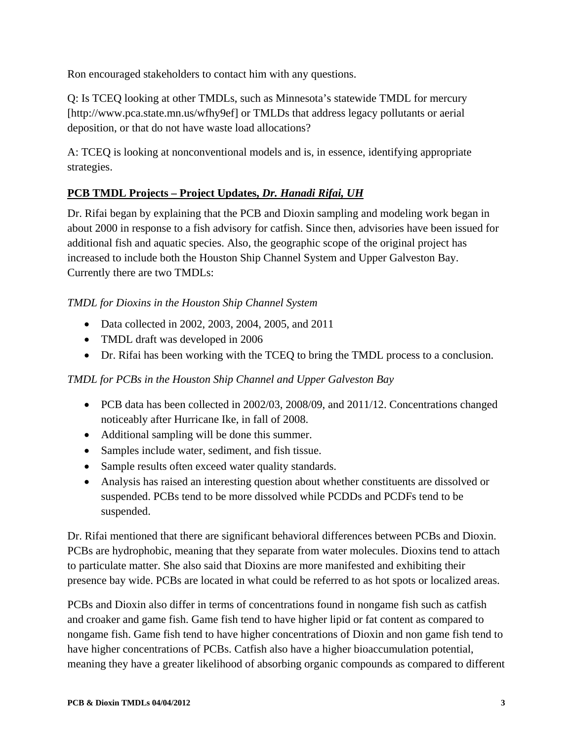Ron encouraged stakeholders to contact him with any questions.

Q: Is TCEQ looking at other TMDLs, such as Minnesota's statewide TMDL for mercury [http://www.pca.state.mn.us/wfhy9ef] or TMLDs that address legacy pollutants or aerial deposition, or that do not have waste load allocations?

A: TCEQ is looking at nonconventional models and is, in essence, identifying appropriate strategies.

### **PCB TMDL Projects – Project Updates,** *Dr. Hanadi Rifai, UH*

Dr. Rifai began by explaining that the PCB and Dioxin sampling and modeling work began in about 2000 in response to a fish advisory for catfish. Since then, advisories have been issued for additional fish and aquatic species. Also, the geographic scope of the original project has increased to include both the Houston Ship Channel System and Upper Galveston Bay. Currently there are two TMDLs:

### *TMDL for Dioxins in the Houston Ship Channel System*

- Data collected in 2002, 2003, 2004, 2005, and 2011
- TMDL draft was developed in 2006
- Dr. Rifai has been working with the TCEQ to bring the TMDL process to a conclusion.

### *TMDL for PCBs in the Houston Ship Channel and Upper Galveston Bay*

- PCB data has been collected in 2002/03, 2008/09, and 2011/12. Concentrations changed noticeably after Hurricane Ike, in fall of 2008.
- Additional sampling will be done this summer.
- Samples include water, sediment, and fish tissue.
- Sample results often exceed water quality standards.
- Analysis has raised an interesting question about whether constituents are dissolved or suspended. PCBs tend to be more dissolved while PCDDs and PCDFs tend to be suspended.

Dr. Rifai mentioned that there are significant behavioral differences between PCBs and Dioxin. PCBs are hydrophobic, meaning that they separate from water molecules. Dioxins tend to attach to particulate matter. She also said that Dioxins are more manifested and exhibiting their presence bay wide. PCBs are located in what could be referred to as hot spots or localized areas.

PCBs and Dioxin also differ in terms of concentrations found in nongame fish such as catfish and croaker and game fish. Game fish tend to have higher lipid or fat content as compared to nongame fish. Game fish tend to have higher concentrations of Dioxin and non game fish tend to have higher concentrations of PCBs. Catfish also have a higher bioaccumulation potential, meaning they have a greater likelihood of absorbing organic compounds as compared to different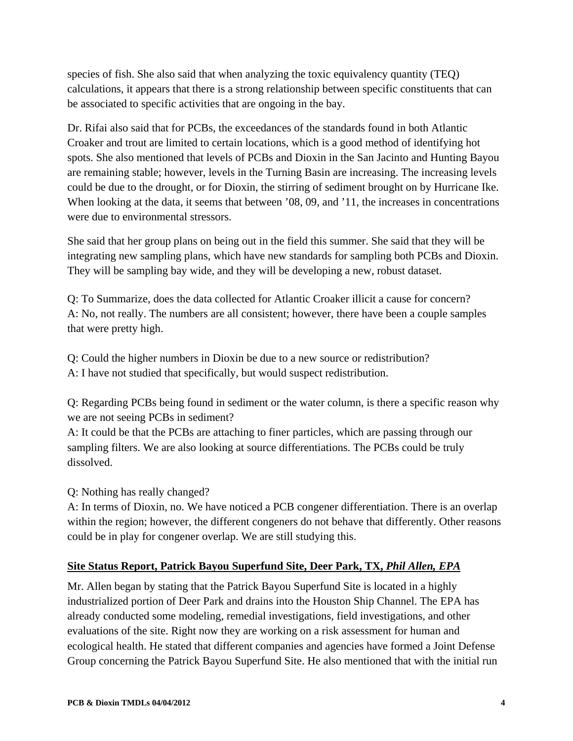species of fish. She also said that when analyzing the toxic equivalency quantity (TEQ) calculations, it appears that there is a strong relationship between specific constituents that can be associated to specific activities that are ongoing in the bay.

Dr. Rifai also said that for PCBs, the exceedances of the standards found in both Atlantic Croaker and trout are limited to certain locations, which is a good method of identifying hot spots. She also mentioned that levels of PCBs and Dioxin in the San Jacinto and Hunting Bayou are remaining stable; however, levels in the Turning Basin are increasing. The increasing levels could be due to the drought, or for Dioxin, the stirring of sediment brought on by Hurricane Ike. When looking at the data, it seems that between '08, 09, and '11, the increases in concentrations were due to environmental stressors.

She said that her group plans on being out in the field this summer. She said that they will be integrating new sampling plans, which have new standards for sampling both PCBs and Dioxin. They will be sampling bay wide, and they will be developing a new, robust dataset.

Q: To Summarize, does the data collected for Atlantic Croaker illicit a cause for concern? A: No, not really. The numbers are all consistent; however, there have been a couple samples that were pretty high.

Q: Could the higher numbers in Dioxin be due to a new source or redistribution? A: I have not studied that specifically, but would suspect redistribution.

Q: Regarding PCBs being found in sediment or the water column, is there a specific reason why we are not seeing PCBs in sediment?

A: It could be that the PCBs are attaching to finer particles, which are passing through our sampling filters. We are also looking at source differentiations. The PCBs could be truly dissolved.

Q: Nothing has really changed?

A: In terms of Dioxin, no. We have noticed a PCB congener differentiation. There is an overlap within the region; however, the different congeners do not behave that differently. Other reasons could be in play for congener overlap. We are still studying this.

### **Site Status Report, Patrick Bayou Superfund Site, Deer Park, TX,** *Phil Allen, EPA*

Mr. Allen began by stating that the Patrick Bayou Superfund Site is located in a highly industrialized portion of Deer Park and drains into the Houston Ship Channel. The EPA has already conducted some modeling, remedial investigations, field investigations, and other evaluations of the site. Right now they are working on a risk assessment for human and ecological health. He stated that different companies and agencies have formed a Joint Defense Group concerning the Patrick Bayou Superfund Site. He also mentioned that with the initial run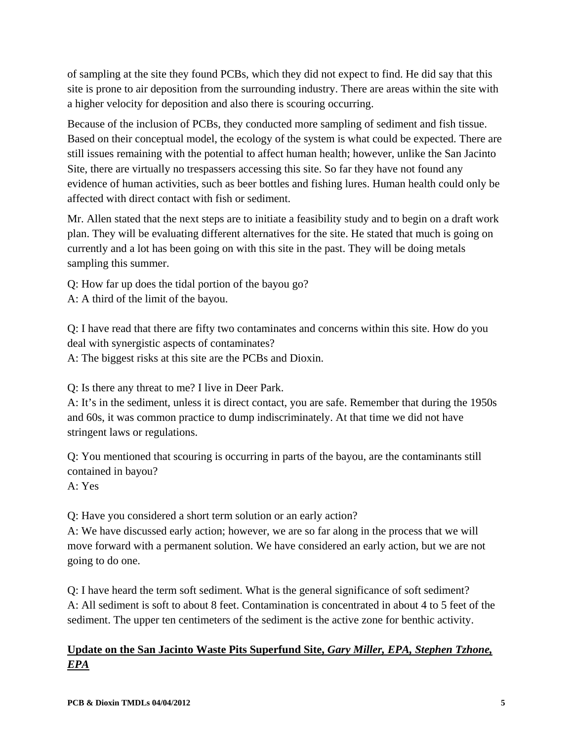of sampling at the site they found PCBs, which they did not expect to find. He did say that this site is prone to air deposition from the surrounding industry. There are areas within the site with a higher velocity for deposition and also there is scouring occurring.

Because of the inclusion of PCBs, they conducted more sampling of sediment and fish tissue. Based on their conceptual model, the ecology of the system is what could be expected. There are still issues remaining with the potential to affect human health; however, unlike the San Jacinto Site, there are virtually no trespassers accessing this site. So far they have not found any evidence of human activities, such as beer bottles and fishing lures. Human health could only be affected with direct contact with fish or sediment.

Mr. Allen stated that the next steps are to initiate a feasibility study and to begin on a draft work plan. They will be evaluating different alternatives for the site. He stated that much is going on currently and a lot has been going on with this site in the past. They will be doing metals sampling this summer.

Q: How far up does the tidal portion of the bayou go?

A: A third of the limit of the bayou.

Q: I have read that there are fifty two contaminates and concerns within this site. How do you deal with synergistic aspects of contaminates?

A: The biggest risks at this site are the PCBs and Dioxin.

Q: Is there any threat to me? I live in Deer Park.

A: It's in the sediment, unless it is direct contact, you are safe. Remember that during the 1950s and 60s, it was common practice to dump indiscriminately. At that time we did not have stringent laws or regulations.

Q: You mentioned that scouring is occurring in parts of the bayou, are the contaminants still contained in bayou?

A: Yes

Q: Have you considered a short term solution or an early action?

A: We have discussed early action; however, we are so far along in the process that we will move forward with a permanent solution. We have considered an early action, but we are not going to do one.

Q: I have heard the term soft sediment. What is the general significance of soft sediment? A: All sediment is soft to about 8 feet. Contamination is concentrated in about 4 to 5 feet of the sediment. The upper ten centimeters of the sediment is the active zone for benthic activity.

## **Update on the San Jacinto Waste Pits Superfund Site,** *Gary Miller, EPA, Stephen Tzhone, EPA*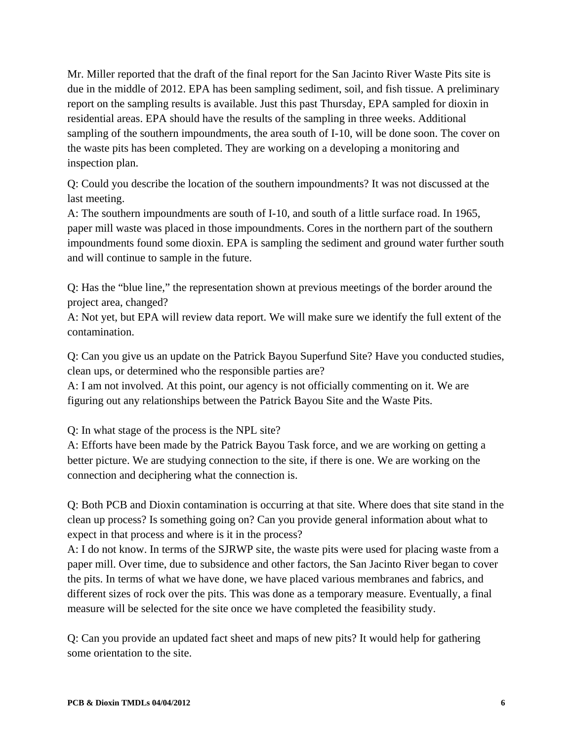Mr. Miller reported that the draft of the final report for the San Jacinto River Waste Pits site is due in the middle of 2012. EPA has been sampling sediment, soil, and fish tissue. A preliminary report on the sampling results is available. Just this past Thursday, EPA sampled for dioxin in residential areas. EPA should have the results of the sampling in three weeks. Additional sampling of the southern impoundments, the area south of I-10, will be done soon. The cover on the waste pits has been completed. They are working on a developing a monitoring and inspection plan.

Q: Could you describe the location of the southern impoundments? It was not discussed at the last meeting.

A: The southern impoundments are south of I-10, and south of a little surface road. In 1965, paper mill waste was placed in those impoundments. Cores in the northern part of the southern impoundments found some dioxin. EPA is sampling the sediment and ground water further south and will continue to sample in the future.

Q: Has the "blue line," the representation shown at previous meetings of the border around the project area, changed?

A: Not yet, but EPA will review data report. We will make sure we identify the full extent of the contamination.

Q: Can you give us an update on the Patrick Bayou Superfund Site? Have you conducted studies, clean ups, or determined who the responsible parties are?

A: I am not involved. At this point, our agency is not officially commenting on it. We are figuring out any relationships between the Patrick Bayou Site and the Waste Pits.

Q: In what stage of the process is the NPL site?

A: Efforts have been made by the Patrick Bayou Task force, and we are working on getting a better picture. We are studying connection to the site, if there is one. We are working on the connection and deciphering what the connection is.

Q: Both PCB and Dioxin contamination is occurring at that site. Where does that site stand in the clean up process? Is something going on? Can you provide general information about what to expect in that process and where is it in the process?

A: I do not know. In terms of the SJRWP site, the waste pits were used for placing waste from a paper mill. Over time, due to subsidence and other factors, the San Jacinto River began to cover the pits. In terms of what we have done, we have placed various membranes and fabrics, and different sizes of rock over the pits. This was done as a temporary measure. Eventually, a final measure will be selected for the site once we have completed the feasibility study.

Q: Can you provide an updated fact sheet and maps of new pits? It would help for gathering some orientation to the site.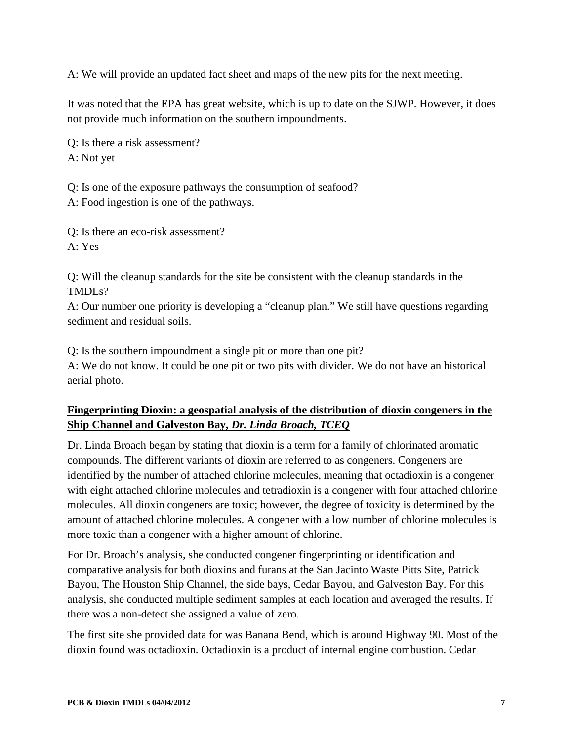A: We will provide an updated fact sheet and maps of the new pits for the next meeting.

It was noted that the EPA has great website, which is up to date on the SJWP. However, it does not provide much information on the southern impoundments.

Q: Is there a risk assessment? A: Not yet

Q: Is one of the exposure pathways the consumption of seafood? A: Food ingestion is one of the pathways.

Q: Is there an eco-risk assessment? A: Yes

Q: Will the cleanup standards for the site be consistent with the cleanup standards in the TMDLs?

A: Our number one priority is developing a "cleanup plan." We still have questions regarding sediment and residual soils.

Q: Is the southern impoundment a single pit or more than one pit? A: We do not know. It could be one pit or two pits with divider. We do not have an historical aerial photo.

### **Fingerprinting Dioxin: a geospatial analysis of the distribution of dioxin congeners in the Ship Channel and Galveston Bay,** *Dr. Linda Broach, TCEQ*

Dr. Linda Broach began by stating that dioxin is a term for a family of chlorinated aromatic compounds. The different variants of dioxin are referred to as congeners. Congeners are identified by the number of attached chlorine molecules, meaning that octadioxin is a congener with eight attached chlorine molecules and tetradioxin is a congener with four attached chlorine molecules. All dioxin congeners are toxic; however, the degree of toxicity is determined by the amount of attached chlorine molecules. A congener with a low number of chlorine molecules is more toxic than a congener with a higher amount of chlorine.

For Dr. Broach's analysis, she conducted congener fingerprinting or identification and comparative analysis for both dioxins and furans at the San Jacinto Waste Pitts Site, Patrick Bayou, The Houston Ship Channel, the side bays, Cedar Bayou, and Galveston Bay. For this analysis, she conducted multiple sediment samples at each location and averaged the results. If there was a non-detect she assigned a value of zero.

The first site she provided data for was Banana Bend, which is around Highway 90. Most of the dioxin found was octadioxin. Octadioxin is a product of internal engine combustion. Cedar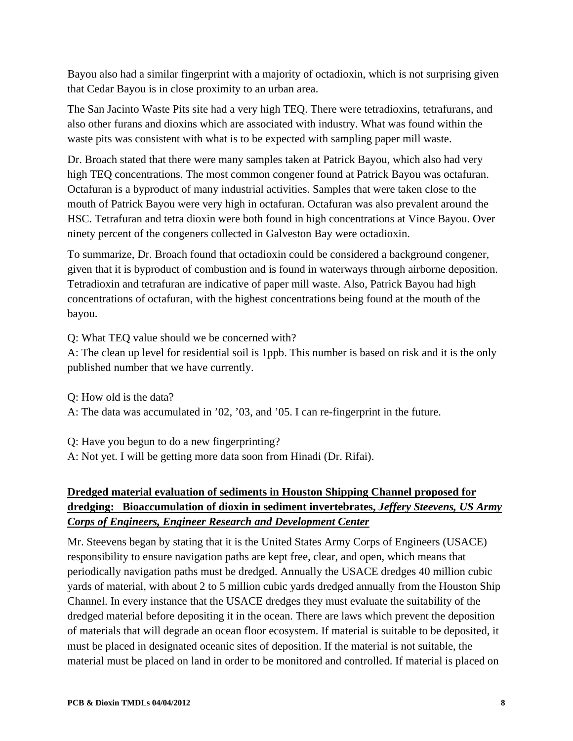Bayou also had a similar fingerprint with a majority of octadioxin, which is not surprising given that Cedar Bayou is in close proximity to an urban area.

The San Jacinto Waste Pits site had a very high TEQ. There were tetradioxins, tetrafurans, and also other furans and dioxins which are associated with industry. What was found within the waste pits was consistent with what is to be expected with sampling paper mill waste.

Dr. Broach stated that there were many samples taken at Patrick Bayou, which also had very high TEQ concentrations. The most common congener found at Patrick Bayou was octafuran. Octafuran is a byproduct of many industrial activities. Samples that were taken close to the mouth of Patrick Bayou were very high in octafuran. Octafuran was also prevalent around the HSC. Tetrafuran and tetra dioxin were both found in high concentrations at Vince Bayou. Over ninety percent of the congeners collected in Galveston Bay were octadioxin.

To summarize, Dr. Broach found that octadioxin could be considered a background congener, given that it is byproduct of combustion and is found in waterways through airborne deposition. Tetradioxin and tetrafuran are indicative of paper mill waste. Also, Patrick Bayou had high concentrations of octafuran, with the highest concentrations being found at the mouth of the bayou.

Q: What TEQ value should we be concerned with?

A: The clean up level for residential soil is 1ppb. This number is based on risk and it is the only published number that we have currently.

Q: How old is the data?

A: The data was accumulated in '02, '03, and '05. I can re-fingerprint in the future.

Q: Have you begun to do a new fingerprinting?

A: Not yet. I will be getting more data soon from Hinadi (Dr. Rifai).

## **Dredged material evaluation of sediments in Houston Shipping Channel proposed for dredging: Bioaccumulation of dioxin in sediment invertebrates,** *Jeffery Steevens, US Army Corps of Engineers, Engineer Research and Development Center*

Mr. Steevens began by stating that it is the United States Army Corps of Engineers (USACE) responsibility to ensure navigation paths are kept free, clear, and open, which means that periodically navigation paths must be dredged. Annually the USACE dredges 40 million cubic yards of material, with about 2 to 5 million cubic yards dredged annually from the Houston Ship Channel. In every instance that the USACE dredges they must evaluate the suitability of the dredged material before depositing it in the ocean. There are laws which prevent the deposition of materials that will degrade an ocean floor ecosystem. If material is suitable to be deposited, it must be placed in designated oceanic sites of deposition. If the material is not suitable, the material must be placed on land in order to be monitored and controlled. If material is placed on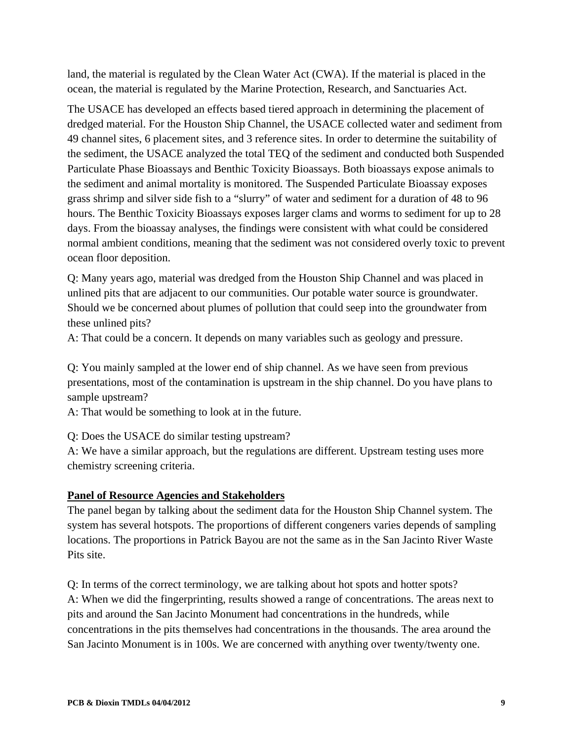land, the material is regulated by the Clean Water Act (CWA). If the material is placed in the ocean, the material is regulated by the Marine Protection, Research, and Sanctuaries Act.

The USACE has developed an effects based tiered approach in determining the placement of dredged material. For the Houston Ship Channel, the USACE collected water and sediment from 49 channel sites, 6 placement sites, and 3 reference sites. In order to determine the suitability of the sediment, the USACE analyzed the total TEQ of the sediment and conducted both Suspended Particulate Phase Bioassays and Benthic Toxicity Bioassays. Both bioassays expose animals to the sediment and animal mortality is monitored. The Suspended Particulate Bioassay exposes grass shrimp and silver side fish to a "slurry" of water and sediment for a duration of 48 to 96 hours. The Benthic Toxicity Bioassays exposes larger clams and worms to sediment for up to 28 days. From the bioassay analyses, the findings were consistent with what could be considered normal ambient conditions, meaning that the sediment was not considered overly toxic to prevent ocean floor deposition.

Q: Many years ago, material was dredged from the Houston Ship Channel and was placed in unlined pits that are adjacent to our communities. Our potable water source is groundwater. Should we be concerned about plumes of pollution that could seep into the groundwater from these unlined pits?

A: That could be a concern. It depends on many variables such as geology and pressure.

Q: You mainly sampled at the lower end of ship channel. As we have seen from previous presentations, most of the contamination is upstream in the ship channel. Do you have plans to sample upstream?

A: That would be something to look at in the future.

Q: Does the USACE do similar testing upstream?

A: We have a similar approach, but the regulations are different. Upstream testing uses more chemistry screening criteria.

#### **Panel of Resource Agencies and Stakeholders**

The panel began by talking about the sediment data for the Houston Ship Channel system. The system has several hotspots. The proportions of different congeners varies depends of sampling locations. The proportions in Patrick Bayou are not the same as in the San Jacinto River Waste Pits site.

Q: In terms of the correct terminology, we are talking about hot spots and hotter spots? A: When we did the fingerprinting, results showed a range of concentrations. The areas next to pits and around the San Jacinto Monument had concentrations in the hundreds, while concentrations in the pits themselves had concentrations in the thousands. The area around the San Jacinto Monument is in 100s. We are concerned with anything over twenty/twenty one.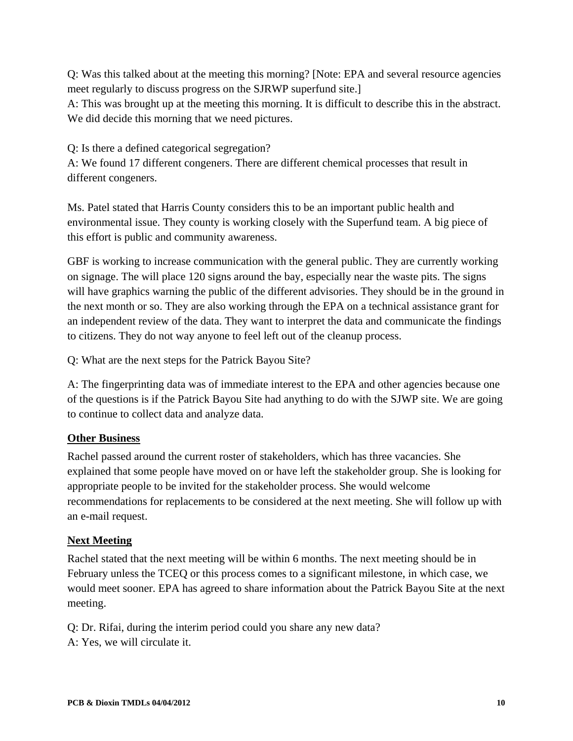Q: Was this talked about at the meeting this morning? [Note: EPA and several resource agencies meet regularly to discuss progress on the SJRWP superfund site.] A: This was brought up at the meeting this morning. It is difficult to describe this in the abstract. We did decide this morning that we need pictures.

Q: Is there a defined categorical segregation? A: We found 17 different congeners. There are different chemical processes that result in different congeners.

Ms. Patel stated that Harris County considers this to be an important public health and environmental issue. They county is working closely with the Superfund team. A big piece of this effort is public and community awareness.

GBF is working to increase communication with the general public. They are currently working on signage. The will place 120 signs around the bay, especially near the waste pits. The signs will have graphics warning the public of the different advisories. They should be in the ground in the next month or so. They are also working through the EPA on a technical assistance grant for an independent review of the data. They want to interpret the data and communicate the findings to citizens. They do not way anyone to feel left out of the cleanup process.

Q: What are the next steps for the Patrick Bayou Site?

A: The fingerprinting data was of immediate interest to the EPA and other agencies because one of the questions is if the Patrick Bayou Site had anything to do with the SJWP site. We are going to continue to collect data and analyze data.

### **Other Business**

Rachel passed around the current roster of stakeholders, which has three vacancies. She explained that some people have moved on or have left the stakeholder group. She is looking for appropriate people to be invited for the stakeholder process. She would welcome recommendations for replacements to be considered at the next meeting. She will follow up with an e-mail request.

### **Next Meeting**

Rachel stated that the next meeting will be within 6 months. The next meeting should be in February unless the TCEQ or this process comes to a significant milestone, in which case, we would meet sooner. EPA has agreed to share information about the Patrick Bayou Site at the next meeting.

Q: Dr. Rifai, during the interim period could you share any new data? A: Yes, we will circulate it.